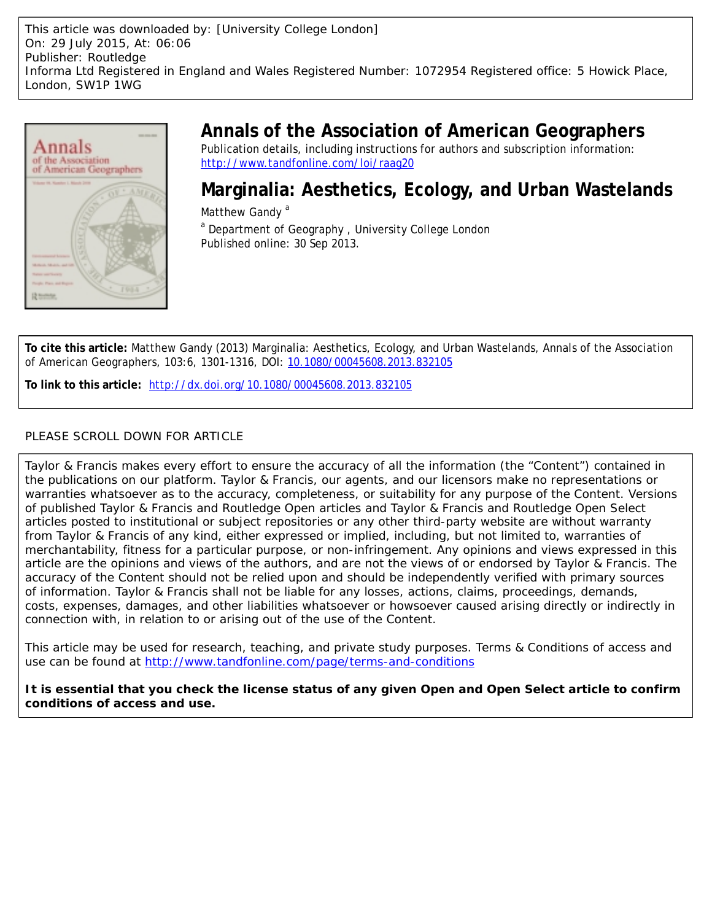This article was downloaded by: [University College London] On: 29 July 2015, At: 06:06 Publisher: Routledge Informa Ltd Registered in England and Wales Registered Number: 1072954 Registered office: 5 Howick Place, London, SW1P 1WG



# **Annals of the Association of American Geographers**

Publication details, including instructions for authors and subscription information: <http://www.tandfonline.com/loi/raag20>

# **Marginalia: Aesthetics, Ecology, and Urban Wastelands**

Matthew Gandy<sup>a</sup> <sup>a</sup> Department of Geography, University College London Published online: 30 Sep 2013.

**To cite this article:** Matthew Gandy (2013) Marginalia: Aesthetics, Ecology, and Urban Wastelands, Annals of the Association of American Geographers, 103:6, 1301-1316, DOI: [10.1080/00045608.2013.832105](http://www.tandfonline.com/action/showCitFormats?doi=10.1080/00045608.2013.832105)

**To link to this article:** <http://dx.doi.org/10.1080/00045608.2013.832105>

# PLEASE SCROLL DOWN FOR ARTICLE

Taylor & Francis makes every effort to ensure the accuracy of all the information (the "Content") contained in the publications on our platform. Taylor & Francis, our agents, and our licensors make no representations or warranties whatsoever as to the accuracy, completeness, or suitability for any purpose of the Content. Versions of published Taylor & Francis and Routledge Open articles and Taylor & Francis and Routledge Open Select articles posted to institutional or subject repositories or any other third-party website are without warranty from Taylor & Francis of any kind, either expressed or implied, including, but not limited to, warranties of merchantability, fitness for a particular purpose, or non-infringement. Any opinions and views expressed in this article are the opinions and views of the authors, and are not the views of or endorsed by Taylor & Francis. The accuracy of the Content should not be relied upon and should be independently verified with primary sources of information. Taylor & Francis shall not be liable for any losses, actions, claims, proceedings, demands, costs, expenses, damages, and other liabilities whatsoever or howsoever caused arising directly or indirectly in connection with, in relation to or arising out of the use of the Content.

This article may be used for research, teaching, and private study purposes. Terms & Conditions of access and use can be found at <http://www.tandfonline.com/page/terms-and-conditions>

**It is essential that you check the license status of any given Open and Open Select article to confirm conditions of access and use.**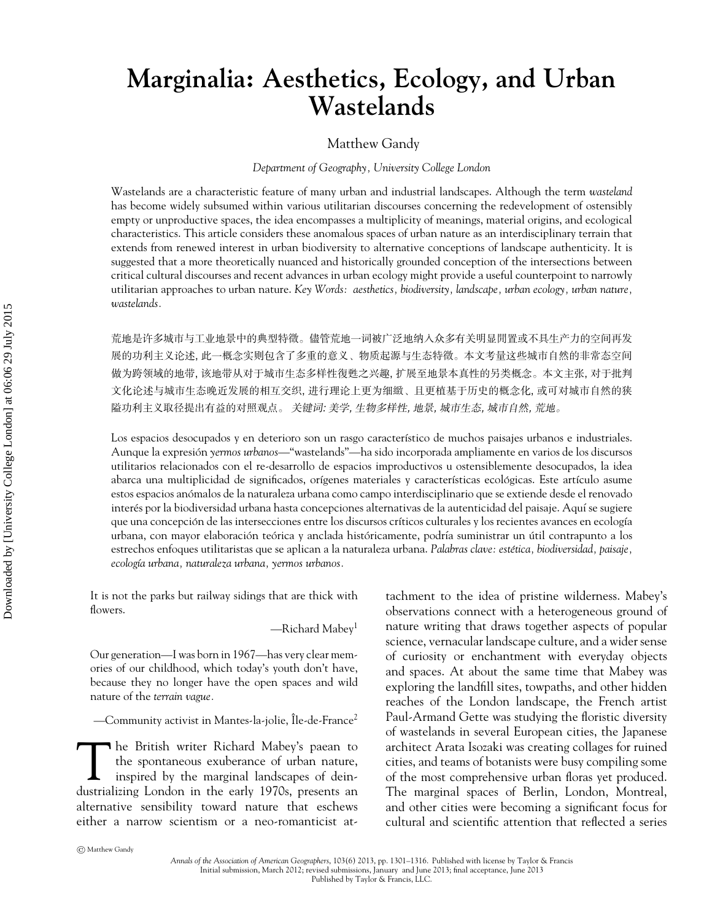# **Marginalia: Aesthetics, Ecology, and Urban Wastelands**

#### Matthew Gandy

#### *Department of Geography, University College London*

Wastelands are a characteristic feature of many urban and industrial landscapes. Although the term *wasteland* has become widely subsumed within various utilitarian discourses concerning the redevelopment of ostensibly empty or unproductive spaces, the idea encompasses a multiplicity of meanings, material origins, and ecological characteristics. This article considers these anomalous spaces of urban nature as an interdisciplinary terrain that extends from renewed interest in urban biodiversity to alternative conceptions of landscape authenticity. It is suggested that a more theoretically nuanced and historically grounded conception of the intersections between critical cultural discourses and recent advances in urban ecology might provide a useful counterpoint to narrowly utilitarian approaches to urban nature. *Key Words: aesthetics, biodiversity, landscape, urban ecology, urban nature, wastelands.*

荒地是许多城市与工业地景中的典型特徵。儘管荒地一词被广泛地纳人众多有关明显閒置或不具生产力的空间再发 展的功利主义论述, 此一概念实则包含了多重的意义、物质起源与生态特徵。本文考量这些城市自然的非常态空间 做为跨领域的地带, 该地带从对于城市生态多样性復甦之兴趣, 扩展至地景本真性的另类概念。本文主张, 对于批判 文化论述与城市生态晚近发展的相互交织, 进行理论上更为细緻、且更植基于历史的概念化, 或可对城市自然的狭 隘功利主义取径提出有益的对照观点。 关键词: 美学, 生物多样性, 地景, 城市生态, 城市自然, 荒地。

Los espacios desocupados y en deterioro son un rasgo característico de muchos paisajes urbanos e industriales. Aunque la expresion´ *yermos urbanos—*"wastelands"—ha sido incorporada ampliamente en varios de los discursos utilitarios relacionados con el re-desarrollo de espacios improductivos u ostensiblemente desocupados, la idea abarca una multiplicidad de significados, orígenes materiales y características ecológicas. Este artículo asume estos espacios anomalos de la naturaleza urbana como campo interdisciplinario que se extiende desde el renovado ´ interés por la biodiversidad urbana hasta concepciones alternativas de la autenticidad del paisaje. Aquí se sugiere que una concepción de las intersecciones entre los discursos críticos culturales y los recientes avances en ecología urbana, con mayor elaboración teórica y anclada históricamente, podría suministrar un útil contrapunto a los estrechos enfoques utilitaristas que se aplican a la naturaleza urbana. *Palabras clave: estetica, biodiversidad, paisaje, ´ ecolog´ıa urbana, naturaleza urbana, yermos urbanos.*

It is not the parks but railway sidings that are thick with flowers.

—Richard Mabey1

Our generation—I was born in 1967—has very clear memories of our childhood, which today's youth don't have, because they no longer have the open spaces and wild nature of the *terrain vague.*

—Community activist in Mantes-la-jolie, Île-de-France $^2$ 

The British writer Richard Mabey's paean to<br>the spontaneous exuberance of urban nature,<br>inspired by the marginal landscapes of deinthe spontaneous exuberance of urban nature, inspired by the marginal landscapes of deindustrializing London in the early 1970s, presents an alternative sensibility toward nature that eschews either a narrow scientism or a neo-romanticist attachment to the idea of pristine wilderness. Mabey's observations connect with a heterogeneous ground of nature writing that draws together aspects of popular science, vernacular landscape culture, and a wider sense of curiosity or enchantment with everyday objects and spaces. At about the same time that Mabey was exploring the landfill sites, towpaths, and other hidden reaches of the London landscape, the French artist Paul-Armand Gette was studying the floristic diversity of wastelands in several European cities, the Japanese architect Arata Isozaki was creating collages for ruined cities, and teams of botanists were busy compiling some of the most comprehensive urban floras yet produced. The marginal spaces of Berlin, London, Montreal, and other cities were becoming a significant focus for cultural and scientific attention that reflected a series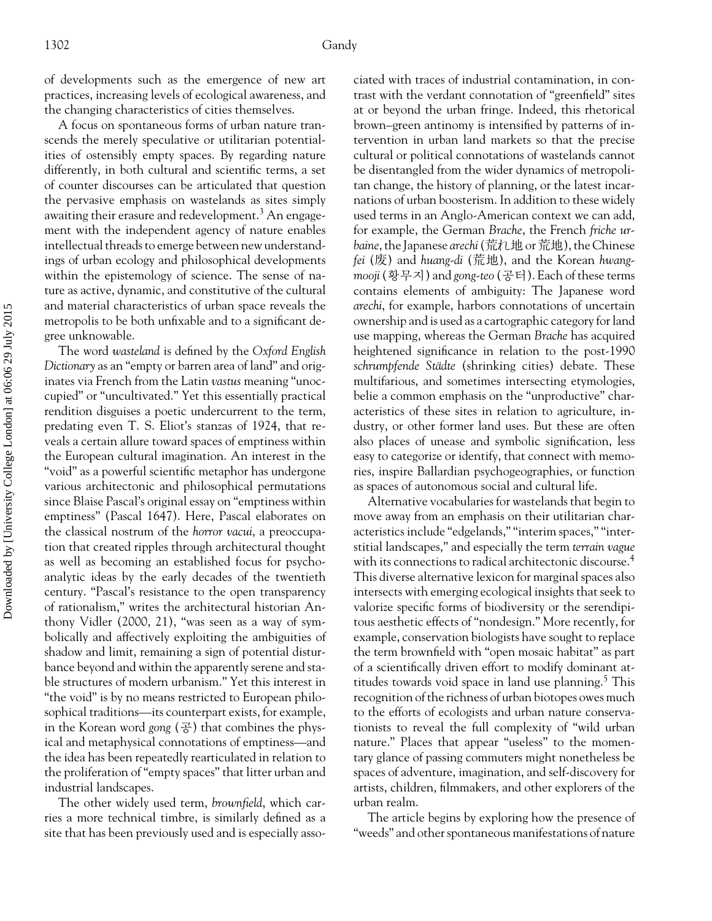of developments such as the emergence of new art practices, increasing levels of ecological awareness, and the changing characteristics of cities themselves.

A focus on spontaneous forms of urban nature transcends the merely speculative or utilitarian potentialities of ostensibly empty spaces. By regarding nature differently, in both cultural and scientific terms, a set of counter discourses can be articulated that question the pervasive emphasis on wastelands as sites simply awaiting their erasure and redevelopment.<sup>3</sup> An engagement with the independent agency of nature enables intellectual threads to emerge between new understandings of urban ecology and philosophical developments within the epistemology of science. The sense of nature as active, dynamic, and constitutive of the cultural and material characteristics of urban space reveals the metropolis to be both unfixable and to a significant degree unknowable.

The word *wasteland* is defined by the *Oxford English Dictionary* as an "empty or barren area of land" and originates via French from the Latin *vastus* meaning "unoccupied" or "uncultivated." Yet this essentially practical rendition disguises a poetic undercurrent to the term, predating even T. S. Eliot's stanzas of 1924, that reveals a certain allure toward spaces of emptiness within the European cultural imagination. An interest in the "void" as a powerful scientific metaphor has undergone various architectonic and philosophical permutations since Blaise Pascal's original essay on "emptiness within emptiness" (Pascal 1647). Here, Pascal elaborates on the classical nostrum of the *horror vacui*, a preoccupation that created ripples through architectural thought as well as becoming an established focus for psychoanalytic ideas by the early decades of the twentieth century. "Pascal's resistance to the open transparency of rationalism," writes the architectural historian Anthony Vidler (2000, 21), "was seen as a way of symbolically and affectively exploiting the ambiguities of shadow and limit, remaining a sign of potential disturbance beyond and within the apparently serene and stable structures of modern urbanism." Yet this interest in "the void" is by no means restricted to European philosophical traditions—its counterpart exists, for example, in the Korean word gong  $(\frac{1}{6})$  that combines the physical and metaphysical connotations of emptiness—and the idea has been repeatedly rearticulated in relation to the proliferation of "empty spaces" that litter urban and industrial landscapes.

The other widely used term, *brownfield*, which carries a more technical timbre, is similarly defined as a site that has been previously used and is especially associated with traces of industrial contamination, in contrast with the verdant connotation of "greenfield" sites at or beyond the urban fringe. Indeed, this rhetorical brown–green antinomy is intensified by patterns of intervention in urban land markets so that the precise cultural or political connotations of wastelands cannot be disentangled from the wider dynamics of metropolitan change, the history of planning, or the latest incarnations of urban boosterism. In addition to these widely used terms in an Anglo-American context we can add, for example, the German *Brache*, the French *friche urbaine*, the Japanese *arechi*(--or--), the Chinese *fei* () and *huang-di* (--), and the Korean *hwang*mooji (황무지) and gong-teo (공터). Each of these terms contains elements of ambiguity: The Japanese word *arechi*, for example, harbors connotations of uncertain ownership and is used as a cartographic category for land use mapping, whereas the German *Brache* has acquired heightened significance in relation to the post-1990 *schrumpfende Städte* (shrinking cities) debate. These multifarious, and sometimes intersecting etymologies, belie a common emphasis on the "unproductive" characteristics of these sites in relation to agriculture, industry, or other former land uses. But these are often also places of unease and symbolic signification, less easy to categorize or identify, that connect with memories, inspire Ballardian psychogeographies, or function as spaces of autonomous social and cultural life.

Alternative vocabularies for wastelands that begin to move away from an emphasis on their utilitarian characteristics include "edgelands," "interim spaces," "interstitial landscapes," and especially the term *terrain vague* with its connections to radical architectonic discourse.<sup>4</sup> This diverse alternative lexicon for marginal spaces also intersects with emerging ecological insights that seek to valorize specific forms of biodiversity or the serendipitous aesthetic effects of "nondesign." More recently, for example, conservation biologists have sought to replace the term brownfield with "open mosaic habitat" as part of a scientifically driven effort to modify dominant attitudes towards void space in land use planning.<sup>5</sup> This recognition of the richness of urban biotopes owes much to the efforts of ecologists and urban nature conservationists to reveal the full complexity of "wild urban nature." Places that appear "useless" to the momentary glance of passing commuters might nonetheless be spaces of adventure, imagination, and self-discovery for artists, children, filmmakers, and other explorers of the urban realm.

The article begins by exploring how the presence of "weeds" and other spontaneous manifestations of nature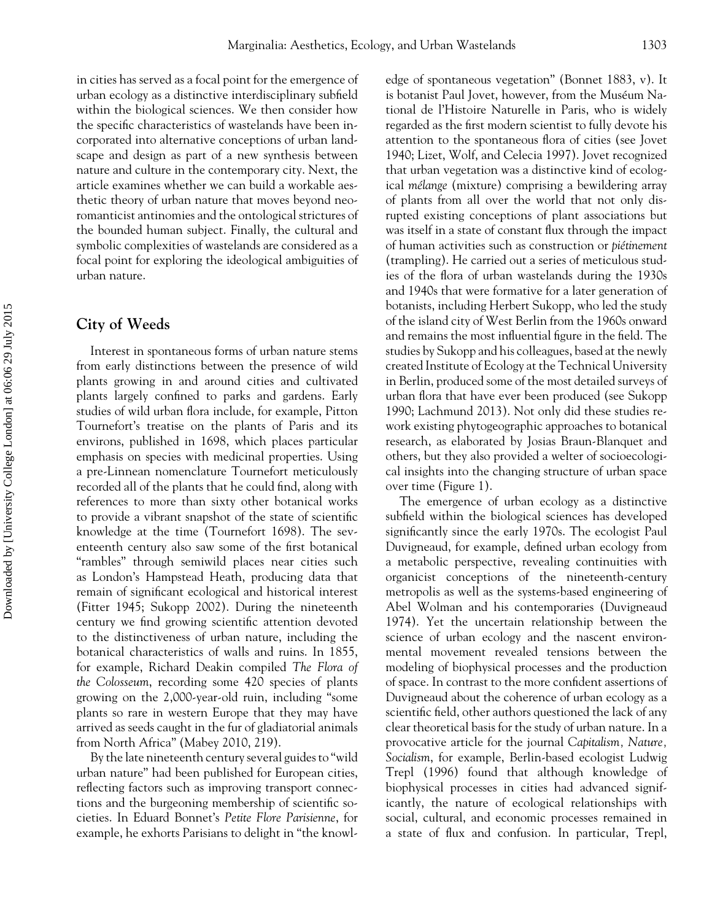in cities has served as a focal point for the emergence of urban ecology as a distinctive interdisciplinary subfield within the biological sciences. We then consider how the specific characteristics of wastelands have been incorporated into alternative conceptions of urban landscape and design as part of a new synthesis between nature and culture in the contemporary city. Next, the article examines whether we can build a workable aesthetic theory of urban nature that moves beyond neoromanticist antinomies and the ontological strictures of the bounded human subject. Finally, the cultural and symbolic complexities of wastelands are considered as a focal point for exploring the ideological ambiguities of urban nature.

# **City of Weeds**

Interest in spontaneous forms of urban nature stems from early distinctions between the presence of wild plants growing in and around cities and cultivated plants largely confined to parks and gardens. Early studies of wild urban flora include, for example, Pitton Tournefort's treatise on the plants of Paris and its environs, published in 1698, which places particular emphasis on species with medicinal properties. Using a pre-Linnean nomenclature Tournefort meticulously recorded all of the plants that he could find, along with references to more than sixty other botanical works to provide a vibrant snapshot of the state of scientific knowledge at the time (Tournefort 1698). The seventeenth century also saw some of the first botanical "rambles" through semiwild places near cities such as London's Hampstead Heath, producing data that remain of significant ecological and historical interest (Fitter 1945; Sukopp 2002). During the nineteenth century we find growing scientific attention devoted to the distinctiveness of urban nature, including the botanical characteristics of walls and ruins. In 1855, for example, Richard Deakin compiled *The Flora of the Colosseum*, recording some 420 species of plants growing on the 2,000-year-old ruin, including "some plants so rare in western Europe that they may have arrived as seeds caught in the fur of gladiatorial animals from North Africa" (Mabey 2010, 219).

By the late nineteenth century several guides to "wild urban nature" had been published for European cities, reflecting factors such as improving transport connections and the burgeoning membership of scientific societies. In Eduard Bonnet's *Petite Flore Parisienne*, for example, he exhorts Parisians to delight in "the knowledge of spontaneous vegetation" (Bonnet 1883, v). It is botanist Paul Jovet, however, from the Muséum National de l'Histoire Naturelle in Paris, who is widely regarded as the first modern scientist to fully devote his attention to the spontaneous flora of cities (see Jovet 1940; Lizet, Wolf, and Celecia 1997). Jovet recognized that urban vegetation was a distinctive kind of ecological *mélange* (mixture) comprising a bewildering array of plants from all over the world that not only disrupted existing conceptions of plant associations but was itself in a state of constant flux through the impact of human activities such as construction or *pietinement ´* (trampling). He carried out a series of meticulous studies of the flora of urban wastelands during the 1930s and 1940s that were formative for a later generation of botanists, including Herbert Sukopp, who led the study of the island city of West Berlin from the 1960s onward and remains the most influential figure in the field. The studies by Sukopp and his colleagues, based at the newly created Institute of Ecology at the Technical University in Berlin, produced some of the most detailed surveys of urban flora that have ever been produced (see Sukopp 1990; Lachmund 2013). Not only did these studies rework existing phytogeographic approaches to botanical research, as elaborated by Josias Braun-Blanquet and others, but they also provided a welter of socioecological insights into the changing structure of urban space over time (Figure 1).

The emergence of urban ecology as a distinctive subfield within the biological sciences has developed significantly since the early 1970s. The ecologist Paul Duvigneaud, for example, defined urban ecology from a metabolic perspective, revealing continuities with organicist conceptions of the nineteenth-century metropolis as well as the systems-based engineering of Abel Wolman and his contemporaries (Duvigneaud 1974). Yet the uncertain relationship between the science of urban ecology and the nascent environmental movement revealed tensions between the modeling of biophysical processes and the production of space. In contrast to the more confident assertions of Duvigneaud about the coherence of urban ecology as a scientific field, other authors questioned the lack of any clear theoretical basis for the study of urban nature. In a provocative article for the journal *Capitalism, Nature, Socialism*, for example, Berlin-based ecologist Ludwig Trepl (1996) found that although knowledge of biophysical processes in cities had advanced significantly, the nature of ecological relationships with social, cultural, and economic processes remained in a state of flux and confusion. In particular, Trepl,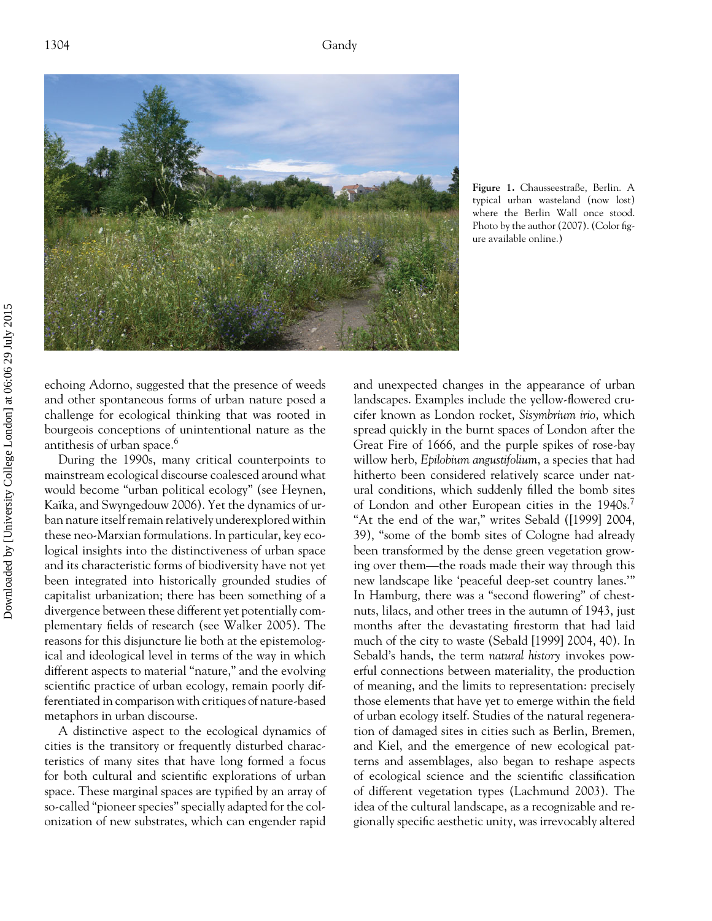

**Figure 1.** Chausseestraße, Berlin. A typical urban wasteland (now lost) where the Berlin Wall once stood. Photo by the author (2007). (Color figure available online.)

echoing Adorno, suggested that the presence of weeds and other spontaneous forms of urban nature posed a challenge for ecological thinking that was rooted in bourgeois conceptions of unintentional nature as the antithesis of urban space.<sup>6</sup>

During the 1990s, many critical counterpoints to mainstream ecological discourse coalesced around what would become "urban political ecology" (see Heynen, Kaïka, and Swyngedouw 2006). Yet the dynamics of urban nature itself remain relatively underexplored within these neo-Marxian formulations. In particular, key ecological insights into the distinctiveness of urban space and its characteristic forms of biodiversity have not yet been integrated into historically grounded studies of capitalist urbanization; there has been something of a divergence between these different yet potentially complementary fields of research (see Walker 2005). The reasons for this disjuncture lie both at the epistemological and ideological level in terms of the way in which different aspects to material "nature," and the evolving scientific practice of urban ecology, remain poorly differentiated in comparison with critiques of nature-based metaphors in urban discourse.

A distinctive aspect to the ecological dynamics of cities is the transitory or frequently disturbed characteristics of many sites that have long formed a focus for both cultural and scientific explorations of urban space. These marginal spaces are typified by an array of so-called "pioneer species" specially adapted for the colonization of new substrates, which can engender rapid

and unexpected changes in the appearance of urban landscapes. Examples include the yellow-flowered crucifer known as London rocket, *Sisymbrium irio*, which spread quickly in the burnt spaces of London after the Great Fire of 1666, and the purple spikes of rose-bay willow herb, *Epilobium angustifolium*, a species that had hitherto been considered relatively scarce under natural conditions, which suddenly filled the bomb sites of London and other European cities in the 1940s.<sup>7</sup> "At the end of the war," writes Sebald ([1999] 2004, 39), "some of the bomb sites of Cologne had already been transformed by the dense green vegetation growing over them—the roads made their way through this new landscape like 'peaceful deep-set country lanes.'" In Hamburg, there was a "second flowering" of chestnuts, lilacs, and other trees in the autumn of 1943, just months after the devastating firestorm that had laid much of the city to waste (Sebald [1999] 2004, 40). In Sebald's hands, the term *natural history* invokes powerful connections between materiality, the production of meaning, and the limits to representation: precisely those elements that have yet to emerge within the field of urban ecology itself. Studies of the natural regeneration of damaged sites in cities such as Berlin, Bremen, and Kiel, and the emergence of new ecological patterns and assemblages, also began to reshape aspects of ecological science and the scientific classification of different vegetation types (Lachmund 2003). The idea of the cultural landscape, as a recognizable and regionally specific aesthetic unity, was irrevocably altered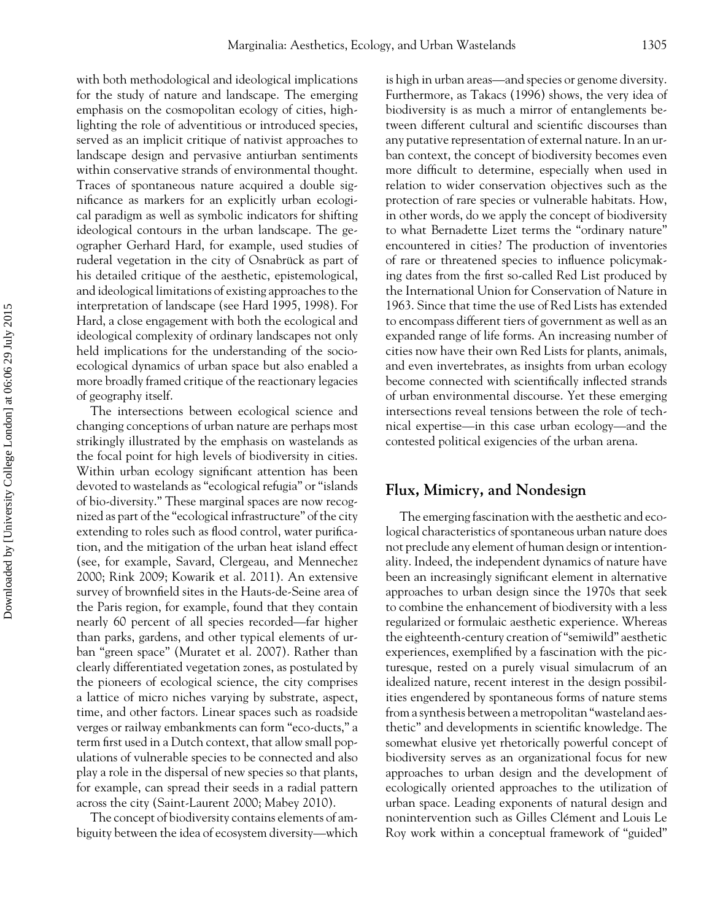with both methodological and ideological implications for the study of nature and landscape. The emerging emphasis on the cosmopolitan ecology of cities, highlighting the role of adventitious or introduced species, served as an implicit critique of nativist approaches to landscape design and pervasive antiurban sentiments within conservative strands of environmental thought. Traces of spontaneous nature acquired a double significance as markers for an explicitly urban ecological paradigm as well as symbolic indicators for shifting ideological contours in the urban landscape. The geographer Gerhard Hard, for example, used studies of ruderal vegetation in the city of Osnabrück as part of his detailed critique of the aesthetic, epistemological, and ideological limitations of existing approaches to the interpretation of landscape (see Hard 1995, 1998). For Hard, a close engagement with both the ecological and ideological complexity of ordinary landscapes not only held implications for the understanding of the socioecological dynamics of urban space but also enabled a more broadly framed critique of the reactionary legacies of geography itself.

The intersections between ecological science and changing conceptions of urban nature are perhaps most strikingly illustrated by the emphasis on wastelands as the focal point for high levels of biodiversity in cities. Within urban ecology significant attention has been devoted to wastelands as "ecological refugia" or "islands of bio-diversity." These marginal spaces are now recognized as part of the "ecological infrastructure" of the city extending to roles such as flood control, water purification, and the mitigation of the urban heat island effect (see, for example, Savard, Clergeau, and Mennechez 2000; Rink 2009; Kowarik et al. 2011). An extensive survey of brownfield sites in the Hauts-de-Seine area of the Paris region, for example, found that they contain nearly 60 percent of all species recorded—far higher than parks, gardens, and other typical elements of urban "green space" (Muratet et al. 2007). Rather than clearly differentiated vegetation zones, as postulated by the pioneers of ecological science, the city comprises a lattice of micro niches varying by substrate, aspect, time, and other factors. Linear spaces such as roadside verges or railway embankments can form "eco-ducts," a term first used in a Dutch context, that allow small populations of vulnerable species to be connected and also play a role in the dispersal of new species so that plants, for example, can spread their seeds in a radial pattern across the city (Saint-Laurent 2000; Mabey 2010).

The concept of biodiversity contains elements of ambiguity between the idea of ecosystem diversity—which

is high in urban areas—and species or genome diversity. Furthermore, as Takacs (1996) shows, the very idea of biodiversity is as much a mirror of entanglements between different cultural and scientific discourses than any putative representation of external nature. In an urban context, the concept of biodiversity becomes even more difficult to determine, especially when used in relation to wider conservation objectives such as the protection of rare species or vulnerable habitats. How, in other words, do we apply the concept of biodiversity to what Bernadette Lizet terms the "ordinary nature" encountered in cities? The production of inventories of rare or threatened species to influence policymaking dates from the first so-called Red List produced by the International Union for Conservation of Nature in 1963. Since that time the use of Red Lists has extended to encompass different tiers of government as well as an expanded range of life forms. An increasing number of cities now have their own Red Lists for plants, animals, and even invertebrates, as insights from urban ecology become connected with scientifically inflected strands of urban environmental discourse. Yet these emerging intersections reveal tensions between the role of technical expertise—in this case urban ecology—and the contested political exigencies of the urban arena.

#### **Flux, Mimicry, and Nondesign**

The emerging fascination with the aesthetic and ecological characteristics of spontaneous urban nature does not preclude any element of human design or intentionality. Indeed, the independent dynamics of nature have been an increasingly significant element in alternative approaches to urban design since the 1970s that seek to combine the enhancement of biodiversity with a less regularized or formulaic aesthetic experience. Whereas the eighteenth-century creation of "semiwild" aesthetic experiences, exemplified by a fascination with the picturesque, rested on a purely visual simulacrum of an idealized nature, recent interest in the design possibilities engendered by spontaneous forms of nature stems from a synthesis between a metropolitan "wasteland aesthetic" and developments in scientific knowledge. The somewhat elusive yet rhetorically powerful concept of biodiversity serves as an organizational focus for new approaches to urban design and the development of ecologically oriented approaches to the utilization of urban space. Leading exponents of natural design and nonintervention such as Gilles Clément and Louis Le Roy work within a conceptual framework of "guided"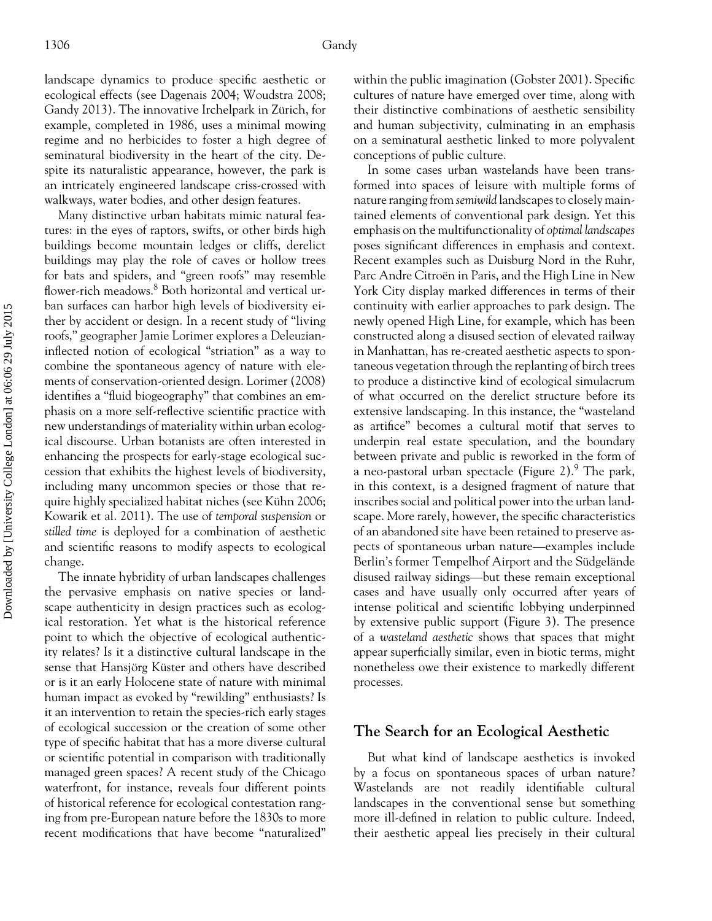landscape dynamics to produce specific aesthetic or ecological effects (see Dagenais 2004; Woudstra 2008; Gandy 2013). The innovative Irchelpark in Zürich, for example, completed in 1986, uses a minimal mowing regime and no herbicides to foster a high degree of seminatural biodiversity in the heart of the city. Despite its naturalistic appearance, however, the park is an intricately engineered landscape criss-crossed with walkways, water bodies, and other design features.

Many distinctive urban habitats mimic natural features: in the eyes of raptors, swifts, or other birds high buildings become mountain ledges or cliffs, derelict buildings may play the role of caves or hollow trees for bats and spiders, and "green roofs" may resemble flower-rich meadows.<sup>8</sup> Both horizontal and vertical urban surfaces can harbor high levels of biodiversity either by accident or design. In a recent study of "living roofs," geographer Jamie Lorimer explores a Deleuzianinflected notion of ecological "striation" as a way to combine the spontaneous agency of nature with elements of conservation-oriented design. Lorimer (2008) identifies a "fluid biogeography" that combines an emphasis on a more self-reflective scientific practice with new understandings of materiality within urban ecological discourse. Urban botanists are often interested in enhancing the prospects for early-stage ecological succession that exhibits the highest levels of biodiversity, including many uncommon species or those that require highly specialized habitat niches (see Kühn 2006; Kowarik et al. 2011). The use of *temporal suspension* or *stilled time* is deployed for a combination of aesthetic and scientific reasons to modify aspects to ecological change.

The innate hybridity of urban landscapes challenges the pervasive emphasis on native species or landscape authenticity in design practices such as ecological restoration. Yet what is the historical reference point to which the objective of ecological authenticity relates? Is it a distinctive cultural landscape in the sense that Hansjörg Küster and others have described or is it an early Holocene state of nature with minimal human impact as evoked by "rewilding" enthusiasts? Is it an intervention to retain the species-rich early stages of ecological succession or the creation of some other type of specific habitat that has a more diverse cultural or scientific potential in comparison with traditionally managed green spaces? A recent study of the Chicago waterfront, for instance, reveals four different points of historical reference for ecological contestation ranging from pre-European nature before the 1830s to more recent modifications that have become "naturalized"

within the public imagination (Gobster 2001). Specific cultures of nature have emerged over time, along with their distinctive combinations of aesthetic sensibility and human subjectivity, culminating in an emphasis on a seminatural aesthetic linked to more polyvalent conceptions of public culture.

In some cases urban wastelands have been transformed into spaces of leisure with multiple forms of nature ranging from *semiwild* landscapes to closely maintained elements of conventional park design. Yet this emphasis on the multifunctionality of *optimal landscapes* poses significant differences in emphasis and context. Recent examples such as Duisburg Nord in the Ruhr, Parc Andre Citroën in Paris, and the High Line in New York City display marked differences in terms of their continuity with earlier approaches to park design. The newly opened High Line, for example, which has been constructed along a disused section of elevated railway in Manhattan, has re-created aesthetic aspects to spontaneous vegetation through the replanting of birch trees to produce a distinctive kind of ecological simulacrum of what occurred on the derelict structure before its extensive landscaping. In this instance, the "wasteland as artifice" becomes a cultural motif that serves to underpin real estate speculation, and the boundary between private and public is reworked in the form of a neo-pastoral urban spectacle (Figure 2). The park, in this context, is a designed fragment of nature that inscribes social and political power into the urban landscape. More rarely, however, the specific characteristics of an abandoned site have been retained to preserve aspects of spontaneous urban nature—examples include Berlin's former Tempelhof Airport and the Südgelände disused railway sidings—but these remain exceptional cases and have usually only occurred after years of intense political and scientific lobbying underpinned by extensive public support (Figure 3). The presence of a *wasteland aesthetic* shows that spaces that might appear superficially similar, even in biotic terms, might nonetheless owe their existence to markedly different processes.

#### **The Search for an Ecological Aesthetic**

But what kind of landscape aesthetics is invoked by a focus on spontaneous spaces of urban nature? Wastelands are not readily identifiable cultural landscapes in the conventional sense but something more ill-defined in relation to public culture. Indeed, their aesthetic appeal lies precisely in their cultural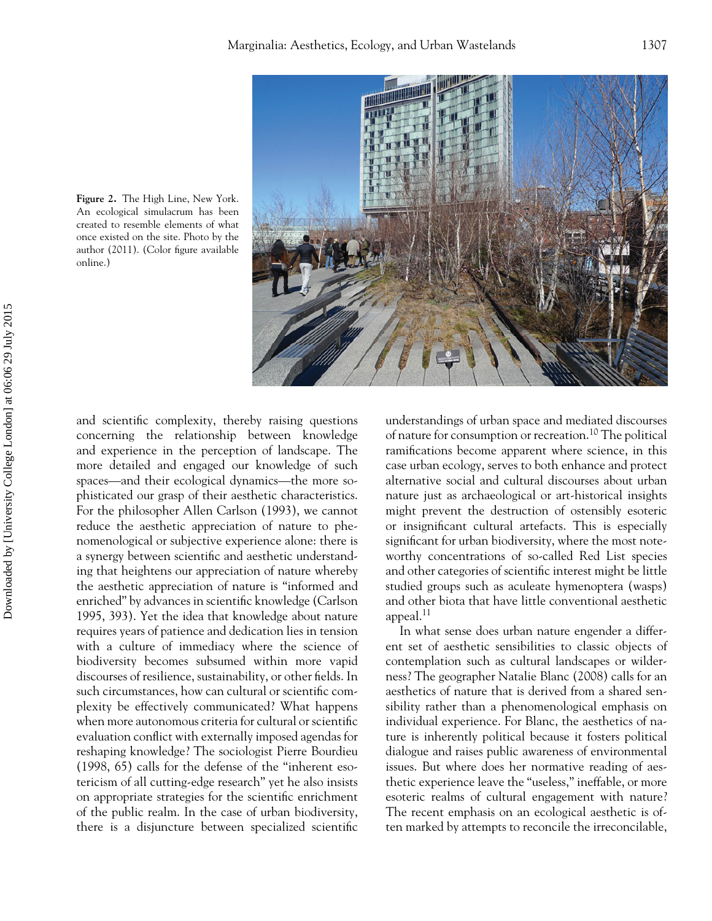

**Figure 2.** The High Line, New York. An ecological simulacrum has been created to resemble elements of what once existed on the site. Photo by the author (2011). (Color figure available online.)

and scientific complexity, thereby raising questions concerning the relationship between knowledge and experience in the perception of landscape. The more detailed and engaged our knowledge of such spaces—and their ecological dynamics—the more sophisticated our grasp of their aesthetic characteristics. For the philosopher Allen Carlson (1993), we cannot reduce the aesthetic appreciation of nature to phenomenological or subjective experience alone: there is a synergy between scientific and aesthetic understanding that heightens our appreciation of nature whereby the aesthetic appreciation of nature is "informed and enriched" by advances in scientific knowledge (Carlson 1995, 393). Yet the idea that knowledge about nature requires years of patience and dedication lies in tension with a culture of immediacy where the science of biodiversity becomes subsumed within more vapid discourses of resilience, sustainability, or other fields. In such circumstances, how can cultural or scientific complexity be effectively communicated? What happens when more autonomous criteria for cultural or scientific evaluation conflict with externally imposed agendas for reshaping knowledge? The sociologist Pierre Bourdieu (1998, 65) calls for the defense of the "inherent esotericism of all cutting-edge research" yet he also insists on appropriate strategies for the scientific enrichment of the public realm. In the case of urban biodiversity, there is a disjuncture between specialized scientific

understandings of urban space and mediated discourses of nature for consumption or recreation.<sup>10</sup> The political ramifications become apparent where science, in this case urban ecology, serves to both enhance and protect alternative social and cultural discourses about urban nature just as archaeological or art-historical insights might prevent the destruction of ostensibly esoteric or insignificant cultural artefacts. This is especially significant for urban biodiversity, where the most noteworthy concentrations of so-called Red List species and other categories of scientific interest might be little studied groups such as aculeate hymenoptera (wasps) and other biota that have little conventional aesthetic appeal.<sup>11</sup>

In what sense does urban nature engender a different set of aesthetic sensibilities to classic objects of contemplation such as cultural landscapes or wilderness? The geographer Natalie Blanc (2008) calls for an aesthetics of nature that is derived from a shared sensibility rather than a phenomenological emphasis on individual experience. For Blanc, the aesthetics of nature is inherently political because it fosters political dialogue and raises public awareness of environmental issues. But where does her normative reading of aesthetic experience leave the "useless," ineffable, or more esoteric realms of cultural engagement with nature? The recent emphasis on an ecological aesthetic is often marked by attempts to reconcile the irreconcilable,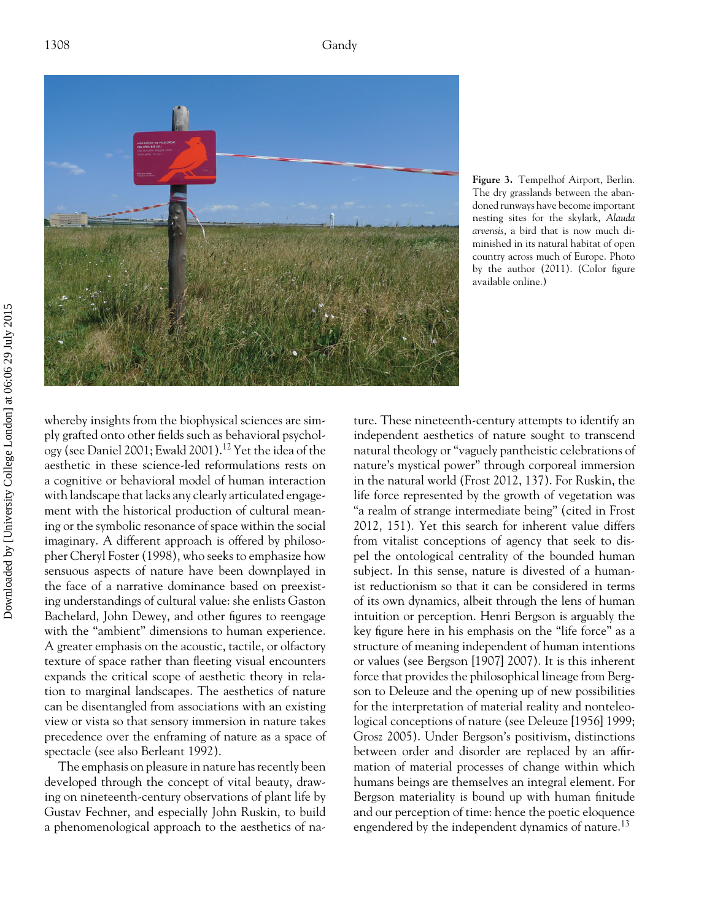

**Figure 3.** Tempelhof Airport, Berlin. The dry grasslands between the abandoned runways have become important nesting sites for the skylark, *Alauda arvensis*, a bird that is now much diminished in its natural habitat of open country across much of Europe. Photo by the author (2011). (Color figure available online.)

whereby insights from the biophysical sciences are simply grafted onto other fields such as behavioral psychology (see Daniel 2001; Ewald 2001).<sup>12</sup> Yet the idea of the aesthetic in these science-led reformulations rests on a cognitive or behavioral model of human interaction with landscape that lacks any clearly articulated engagement with the historical production of cultural meaning or the symbolic resonance of space within the social imaginary. A different approach is offered by philosopher Cheryl Foster (1998), who seeks to emphasize how sensuous aspects of nature have been downplayed in the face of a narrative dominance based on preexisting understandings of cultural value: she enlists Gaston Bachelard, John Dewey, and other figures to reengage with the "ambient" dimensions to human experience. A greater emphasis on the acoustic, tactile, or olfactory texture of space rather than fleeting visual encounters expands the critical scope of aesthetic theory in relation to marginal landscapes. The aesthetics of nature can be disentangled from associations with an existing view or vista so that sensory immersion in nature takes precedence over the enframing of nature as a space of spectacle (see also Berleant 1992).

The emphasis on pleasure in nature has recently been developed through the concept of vital beauty, drawing on nineteenth-century observations of plant life by Gustav Fechner, and especially John Ruskin, to build a phenomenological approach to the aesthetics of nature. These nineteenth-century attempts to identify an independent aesthetics of nature sought to transcend natural theology or "vaguely pantheistic celebrations of nature's mystical power" through corporeal immersion in the natural world (Frost 2012, 137). For Ruskin, the life force represented by the growth of vegetation was "a realm of strange intermediate being" (cited in Frost 2012, 151). Yet this search for inherent value differs from vitalist conceptions of agency that seek to dispel the ontological centrality of the bounded human subject. In this sense, nature is divested of a humanist reductionism so that it can be considered in terms of its own dynamics, albeit through the lens of human intuition or perception. Henri Bergson is arguably the key figure here in his emphasis on the "life force" as a structure of meaning independent of human intentions or values (see Bergson [1907] 2007). It is this inherent force that provides the philosophical lineage from Bergson to Deleuze and the opening up of new possibilities for the interpretation of material reality and nonteleological conceptions of nature (see Deleuze [1956] 1999; Grosz 2005). Under Bergson's positivism, distinctions between order and disorder are replaced by an affirmation of material processes of change within which humans beings are themselves an integral element. For Bergson materiality is bound up with human finitude and our perception of time: hence the poetic eloquence engendered by the independent dynamics of nature.<sup>13</sup>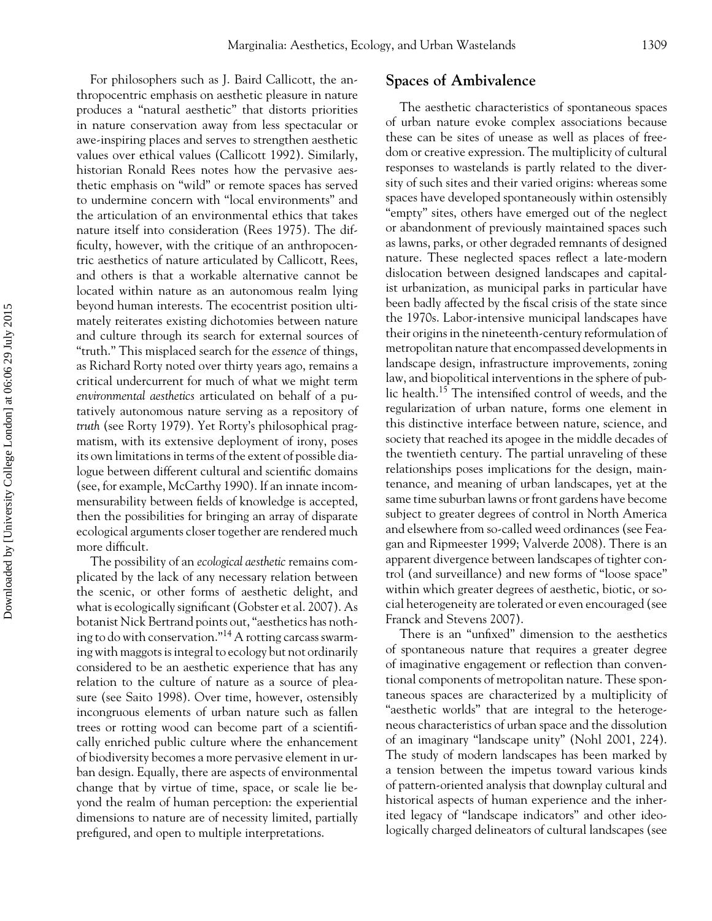For philosophers such as J. Baird Callicott, the anthropocentric emphasis on aesthetic pleasure in nature produces a "natural aesthetic" that distorts priorities in nature conservation away from less spectacular or awe-inspiring places and serves to strengthen aesthetic values over ethical values (Callicott 1992). Similarly, historian Ronald Rees notes how the pervasive aesthetic emphasis on "wild" or remote spaces has served to undermine concern with "local environments" and the articulation of an environmental ethics that takes nature itself into consideration (Rees 1975). The difficulty, however, with the critique of an anthropocentric aesthetics of nature articulated by Callicott, Rees, and others is that a workable alternative cannot be located within nature as an autonomous realm lying beyond human interests. The ecocentrist position ultimately reiterates existing dichotomies between nature and culture through its search for external sources of "truth." This misplaced search for the *essence* of things, as Richard Rorty noted over thirty years ago, remains a critical undercurrent for much of what we might term *environmental aesthetics* articulated on behalf of a putatively autonomous nature serving as a repository of *truth* (see Rorty 1979). Yet Rorty's philosophical pragmatism, with its extensive deployment of irony, poses its own limitations in terms of the extent of possible dialogue between different cultural and scientific domains (see, for example, McCarthy 1990). If an innate incommensurability between fields of knowledge is accepted, then the possibilities for bringing an array of disparate ecological arguments closer together are rendered much more difficult.

The possibility of an *ecological aesthetic* remains complicated by the lack of any necessary relation between the scenic, or other forms of aesthetic delight, and what is ecologically significant (Gobster et al. 2007). As botanist Nick Bertrand points out, "aesthetics has nothing to do with conservation."<sup>14</sup> A rotting carcass swarming with maggots is integral to ecology but not ordinarily considered to be an aesthetic experience that has any relation to the culture of nature as a source of pleasure (see Saito 1998). Over time, however, ostensibly incongruous elements of urban nature such as fallen trees or rotting wood can become part of a scientifically enriched public culture where the enhancement of biodiversity becomes a more pervasive element in urban design. Equally, there are aspects of environmental change that by virtue of time, space, or scale lie beyond the realm of human perception: the experiential dimensions to nature are of necessity limited, partially prefigured, and open to multiple interpretations.

### **Spaces of Ambivalence**

The aesthetic characteristics of spontaneous spaces of urban nature evoke complex associations because these can be sites of unease as well as places of freedom or creative expression. The multiplicity of cultural responses to wastelands is partly related to the diversity of such sites and their varied origins: whereas some spaces have developed spontaneously within ostensibly "empty" sites, others have emerged out of the neglect or abandonment of previously maintained spaces such as lawns, parks, or other degraded remnants of designed nature. These neglected spaces reflect a late-modern dislocation between designed landscapes and capitalist urbanization, as municipal parks in particular have been badly affected by the fiscal crisis of the state since the 1970s. Labor-intensive municipal landscapes have their origins in the nineteenth-century reformulation of metropolitan nature that encompassed developments in landscape design, infrastructure improvements, zoning law, and biopolitical interventions in the sphere of public health.15 The intensified control of weeds, and the regularization of urban nature, forms one element in this distinctive interface between nature, science, and society that reached its apogee in the middle decades of the twentieth century. The partial unraveling of these relationships poses implications for the design, maintenance, and meaning of urban landscapes, yet at the same time suburban lawns or front gardens have become subject to greater degrees of control in North America and elsewhere from so-called weed ordinances (see Feagan and Ripmeester 1999; Valverde 2008). There is an apparent divergence between landscapes of tighter control (and surveillance) and new forms of "loose space" within which greater degrees of aesthetic, biotic, or social heterogeneity are tolerated or even encouraged (see Franck and Stevens 2007).

There is an "unfixed" dimension to the aesthetics of spontaneous nature that requires a greater degree of imaginative engagement or reflection than conventional components of metropolitan nature. These spontaneous spaces are characterized by a multiplicity of "aesthetic worlds" that are integral to the heterogeneous characteristics of urban space and the dissolution of an imaginary "landscape unity" (Nohl 2001, 224). The study of modern landscapes has been marked by a tension between the impetus toward various kinds of pattern-oriented analysis that downplay cultural and historical aspects of human experience and the inherited legacy of "landscape indicators" and other ideologically charged delineators of cultural landscapes (see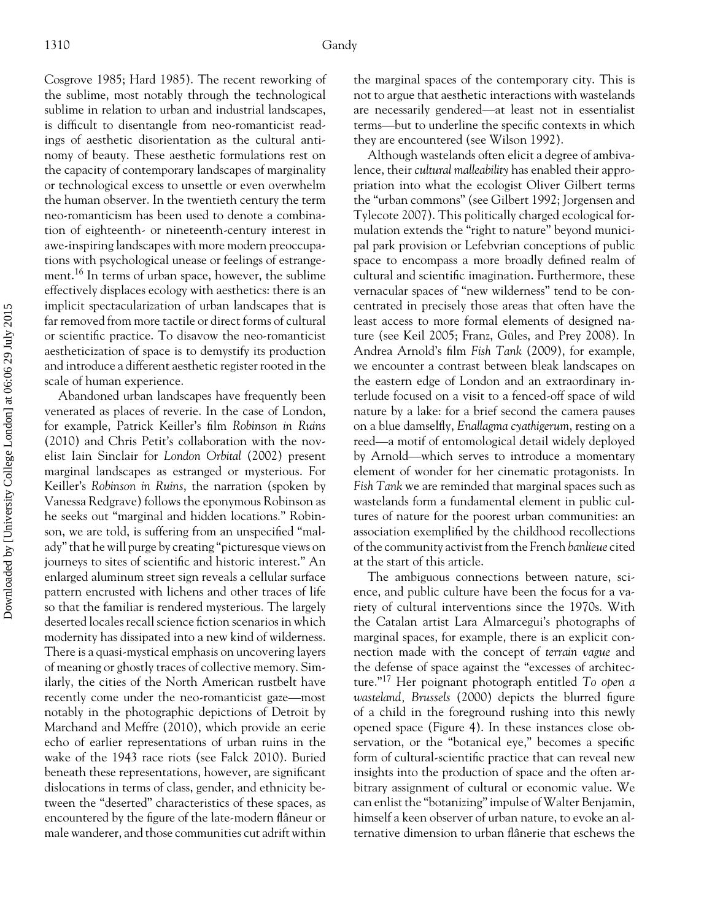Cosgrove 1985; Hard 1985). The recent reworking of the sublime, most notably through the technological sublime in relation to urban and industrial landscapes, is difficult to disentangle from neo-romanticist readings of aesthetic disorientation as the cultural antinomy of beauty. These aesthetic formulations rest on the capacity of contemporary landscapes of marginality or technological excess to unsettle or even overwhelm the human observer. In the twentieth century the term neo-romanticism has been used to denote a combination of eighteenth- or nineteenth-century interest in awe-inspiring landscapes with more modern preoccupations with psychological unease or feelings of estrangement.16 In terms of urban space, however, the sublime effectively displaces ecology with aesthetics: there is an implicit spectacularization of urban landscapes that is far removed from more tactile or direct forms of cultural or scientific practice. To disavow the neo-romanticist aestheticization of space is to demystify its production and introduce a different aesthetic register rooted in the scale of human experience.

Abandoned urban landscapes have frequently been venerated as places of reverie. In the case of London, for example, Patrick Keiller's film *Robinson in Ruins* (2010) and Chris Petit's collaboration with the novelist Iain Sinclair for *London Orbital* (2002) present marginal landscapes as estranged or mysterious. For Keiller's *Robinson in Ruins*, the narration (spoken by Vanessa Redgrave) follows the eponymous Robinson as he seeks out "marginal and hidden locations." Robinson, we are told, is suffering from an unspecified "malady" that he will purge by creating "picturesque views on journeys to sites of scientific and historic interest." An enlarged aluminum street sign reveals a cellular surface pattern encrusted with lichens and other traces of life so that the familiar is rendered mysterious. The largely deserted locales recall science fiction scenarios in which modernity has dissipated into a new kind of wilderness. There is a quasi-mystical emphasis on uncovering layers of meaning or ghostly traces of collective memory. Similarly, the cities of the North American rustbelt have recently come under the neo-romanticist gaze—most notably in the photographic depictions of Detroit by Marchand and Meffre (2010), which provide an eerie echo of earlier representations of urban ruins in the wake of the 1943 race riots (see Falck 2010). Buried beneath these representations, however, are significant dislocations in terms of class, gender, and ethnicity between the "deserted" characteristics of these spaces, as encountered by the figure of the late-modern flâneur or male wanderer, and those communities cut adrift within

the marginal spaces of the contemporary city. This is not to argue that aesthetic interactions with wastelands are necessarily gendered—at least not in essentialist terms—but to underline the specific contexts in which they are encountered (see Wilson 1992).

Although wastelands often elicit a degree of ambivalence, their *cultural malleability* has enabled their appropriation into what the ecologist Oliver Gilbert terms the "urban commons" (see Gilbert 1992; Jorgensen and Tylecote 2007). This politically charged ecological formulation extends the "right to nature" beyond municipal park provision or Lefebvrian conceptions of public space to encompass a more broadly defined realm of cultural and scientific imagination. Furthermore, these vernacular spaces of "new wilderness" tend to be concentrated in precisely those areas that often have the least access to more formal elements of designed nature (see Keil 2005; Franz, Güles, and Prey 2008). In Andrea Arnold's film *Fish Tank* (2009), for example, we encounter a contrast between bleak landscapes on the eastern edge of London and an extraordinary interlude focused on a visit to a fenced-off space of wild nature by a lake: for a brief second the camera pauses on a blue damselfly, *Enallagma cyathigerum*, resting on a reed—a motif of entomological detail widely deployed by Arnold—which serves to introduce a momentary element of wonder for her cinematic protagonists. In *Fish Tank* we are reminded that marginal spaces such as wastelands form a fundamental element in public cultures of nature for the poorest urban communities: an association exemplified by the childhood recollections of the community activist from the French *banlieue* cited at the start of this article.

The ambiguous connections between nature, science, and public culture have been the focus for a variety of cultural interventions since the 1970s. With the Catalan artist Lara Almarcegui's photographs of marginal spaces, for example, there is an explicit connection made with the concept of *terrain vague* and the defense of space against the "excesses of architecture."<sup>17</sup> Her poignant photograph entitled *To open a wasteland, Brussels* (2000) depicts the blurred figure of a child in the foreground rushing into this newly opened space (Figure 4). In these instances close observation, or the "botanical eye," becomes a specific form of cultural-scientific practice that can reveal new insights into the production of space and the often arbitrary assignment of cultural or economic value. We can enlist the "botanizing" impulse of Walter Benjamin, himself a keen observer of urban nature, to evoke an alternative dimension to urban flânerie that eschews the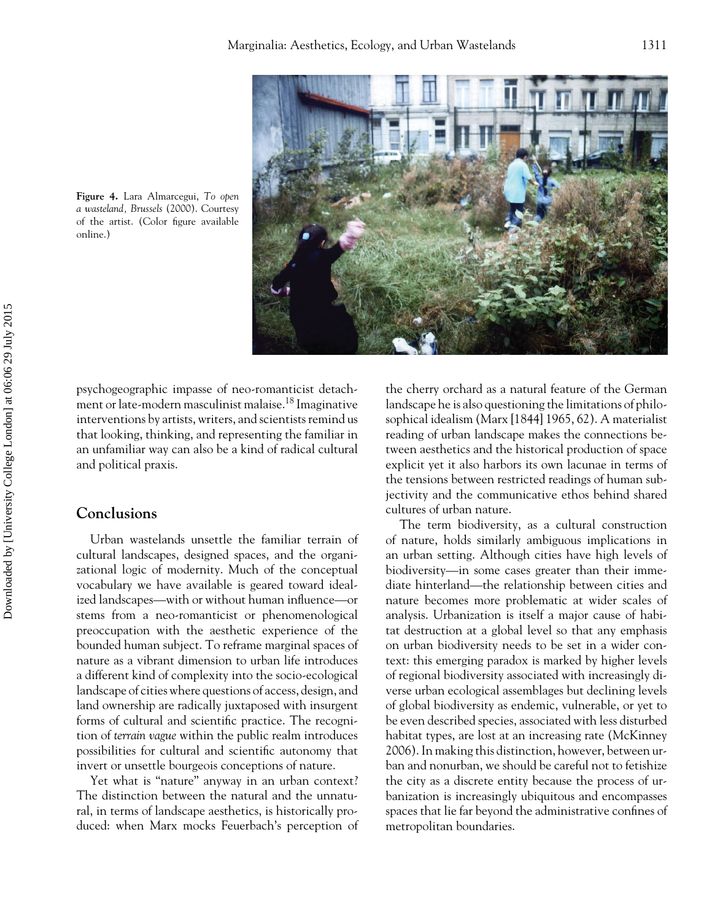

**Figure 4.** Lara Almarcegui, *To open a wasteland, Brussels* (2000). Courtesy of the artist. (Color figure available online.)

psychogeographic impasse of neo-romanticist detachment or late-modern masculinist malaise.18 Imaginative interventions by artists, writers, and scientists remind us that looking, thinking, and representing the familiar in an unfamiliar way can also be a kind of radical cultural and political praxis.

# **Conclusions**

Urban wastelands unsettle the familiar terrain of cultural landscapes, designed spaces, and the organizational logic of modernity. Much of the conceptual vocabulary we have available is geared toward idealized landscapes—with or without human influence—or stems from a neo-romanticist or phenomenological preoccupation with the aesthetic experience of the bounded human subject. To reframe marginal spaces of nature as a vibrant dimension to urban life introduces a different kind of complexity into the socio-ecological landscape of cities where questions of access, design, and land ownership are radically juxtaposed with insurgent forms of cultural and scientific practice. The recognition of *terrain vague* within the public realm introduces possibilities for cultural and scientific autonomy that invert or unsettle bourgeois conceptions of nature.

Yet what is "nature" anyway in an urban context? The distinction between the natural and the unnatural, in terms of landscape aesthetics, is historically produced: when Marx mocks Feuerbach's perception of

the cherry orchard as a natural feature of the German landscape he is also questioning the limitations of philosophical idealism (Marx [1844] 1965, 62). A materialist reading of urban landscape makes the connections between aesthetics and the historical production of space explicit yet it also harbors its own lacunae in terms of the tensions between restricted readings of human subjectivity and the communicative ethos behind shared cultures of urban nature.

The term biodiversity, as a cultural construction of nature, holds similarly ambiguous implications in an urban setting. Although cities have high levels of biodiversity—in some cases greater than their immediate hinterland—the relationship between cities and nature becomes more problematic at wider scales of analysis. Urbanization is itself a major cause of habitat destruction at a global level so that any emphasis on urban biodiversity needs to be set in a wider context: this emerging paradox is marked by higher levels of regional biodiversity associated with increasingly diverse urban ecological assemblages but declining levels of global biodiversity as endemic, vulnerable, or yet to be even described species, associated with less disturbed habitat types, are lost at an increasing rate (McKinney 2006). In making this distinction, however, between urban and nonurban, we should be careful not to fetishize the city as a discrete entity because the process of urbanization is increasingly ubiquitous and encompasses spaces that lie far beyond the administrative confines of metropolitan boundaries.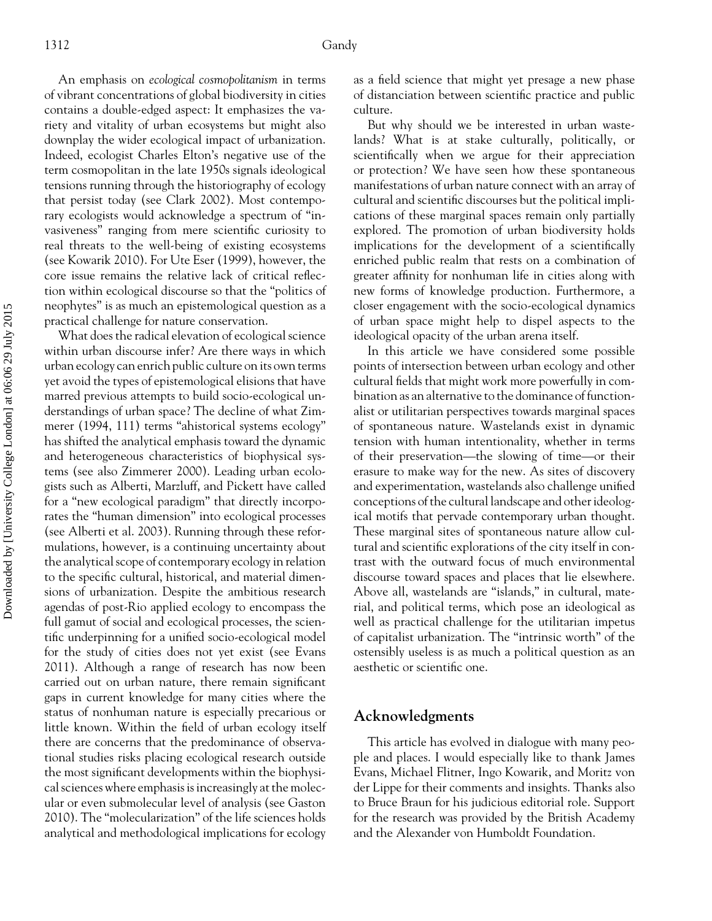An emphasis on *ecological cosmopolitanism* in terms of vibrant concentrations of global biodiversity in cities contains a double-edged aspect: It emphasizes the variety and vitality of urban ecosystems but might also downplay the wider ecological impact of urbanization. Indeed, ecologist Charles Elton's negative use of the term cosmopolitan in the late 1950s signals ideological tensions running through the historiography of ecology that persist today (see Clark 2002). Most contemporary ecologists would acknowledge a spectrum of "invasiveness" ranging from mere scientific curiosity to real threats to the well-being of existing ecosystems (see Kowarik 2010). For Ute Eser (1999), however, the core issue remains the relative lack of critical reflection within ecological discourse so that the "politics of neophytes" is as much an epistemological question as a practical challenge for nature conservation.

What does the radical elevation of ecological science within urban discourse infer? Are there ways in which urban ecology can enrich public culture on its own terms yet avoid the types of epistemological elisions that have marred previous attempts to build socio-ecological understandings of urban space? The decline of what Zimmerer (1994, 111) terms "ahistorical systems ecology" has shifted the analytical emphasis toward the dynamic and heterogeneous characteristics of biophysical systems (see also Zimmerer 2000). Leading urban ecologists such as Alberti, Marzluff, and Pickett have called for a "new ecological paradigm" that directly incorporates the "human dimension" into ecological processes (see Alberti et al. 2003). Running through these reformulations, however, is a continuing uncertainty about the analytical scope of contemporary ecology in relation to the specific cultural, historical, and material dimensions of urbanization. Despite the ambitious research agendas of post-Rio applied ecology to encompass the full gamut of social and ecological processes, the scientific underpinning for a unified socio-ecological model for the study of cities does not yet exist (see Evans 2011). Although a range of research has now been carried out on urban nature, there remain significant gaps in current knowledge for many cities where the status of nonhuman nature is especially precarious or little known. Within the field of urban ecology itself there are concerns that the predominance of observational studies risks placing ecological research outside the most significant developments within the biophysical sciences where emphasis is increasingly at the molecular or even submolecular level of analysis (see Gaston 2010). The "molecularization" of the life sciences holds analytical and methodological implications for ecology

as a field science that might yet presage a new phase of distanciation between scientific practice and public culture.

But why should we be interested in urban wastelands? What is at stake culturally, politically, or scientifically when we argue for their appreciation or protection? We have seen how these spontaneous manifestations of urban nature connect with an array of cultural and scientific discourses but the political implications of these marginal spaces remain only partially explored. The promotion of urban biodiversity holds implications for the development of a scientifically enriched public realm that rests on a combination of greater affinity for nonhuman life in cities along with new forms of knowledge production. Furthermore, a closer engagement with the socio-ecological dynamics of urban space might help to dispel aspects to the ideological opacity of the urban arena itself.

In this article we have considered some possible points of intersection between urban ecology and other cultural fields that might work more powerfully in combination as an alternative to the dominance of functionalist or utilitarian perspectives towards marginal spaces of spontaneous nature. Wastelands exist in dynamic tension with human intentionality, whether in terms of their preservation—the slowing of time—or their erasure to make way for the new. As sites of discovery and experimentation, wastelands also challenge unified conceptions of the cultural landscape and other ideological motifs that pervade contemporary urban thought. These marginal sites of spontaneous nature allow cultural and scientific explorations of the city itself in contrast with the outward focus of much environmental discourse toward spaces and places that lie elsewhere. Above all, wastelands are "islands," in cultural, material, and political terms, which pose an ideological as well as practical challenge for the utilitarian impetus of capitalist urbanization. The "intrinsic worth" of the ostensibly useless is as much a political question as an aesthetic or scientific one.

# **Acknowledgments**

This article has evolved in dialogue with many people and places. I would especially like to thank James Evans, Michael Flitner, Ingo Kowarik, and Moritz von der Lippe for their comments and insights. Thanks also to Bruce Braun for his judicious editorial role. Support for the research was provided by the British Academy and the Alexander von Humboldt Foundation.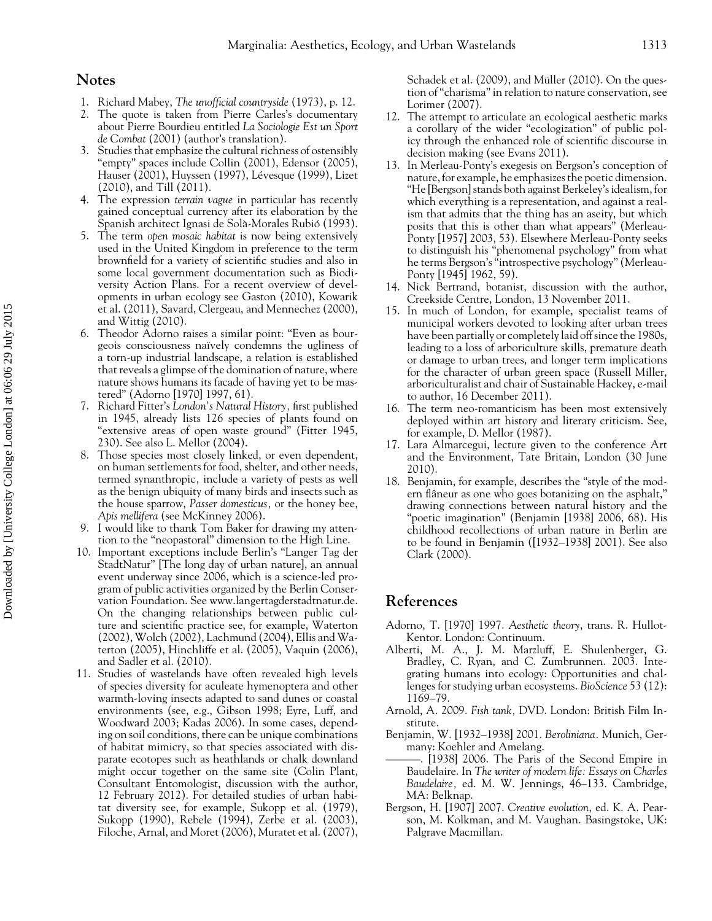#### **Notes**

- 1. Richard Mabey, *The unofficial countryside* (1973), p. 12.
- 2. The quote is taken from Pierre Carles's documentary about Pierre Bourdieu entitled *La Sociologie Est un Sport de Combat* (2001) (author's translation).
- 3. Studies that emphasize the cultural richness of ostensibly "empty" spaces include Collin (2001), Edensor (2005), Hauser (2001), Huyssen (1997), Lévesque (1999), Lizet (2010), and Till (2011).
- 4. The expression *terrain vague* in particular has recently gained conceptual currency after its elaboration by the Spanish architect Ignasi de Solà-Morales Rubió (1993).
- 5. The term *open mosaic habitat* is now being extensively used in the United Kingdom in preference to the term brownfield for a variety of scientific studies and also in some local government documentation such as Biodiversity Action Plans. For a recent overview of developments in urban ecology see Gaston (2010), Kowarik et al. (2011), Savard, Clergeau, and Mennechez (2000), and Wittig (2010).
- 6. Theodor Adorno raises a similar point: "Even as bourgeois consciousness na¨ıvely condemns the ugliness of a torn-up industrial landscape, a relation is established that reveals a glimpse of the domination of nature, where nature shows humans its facade of having yet to be mastered" (Adorno [1970] 1997, 61).
- 7. Richard Fitter's *London's Natural History,* first published in 1945, already lists 126 species of plants found on "extensive areas of open waste ground" (Fitter 1945, 230). See also L. Mellor (2004).
- 8. Those species most closely linked, or even dependent, on human settlements for food, shelter, and other needs, termed synanthropic*,* include a variety of pests as well as the benign ubiquity of many birds and insects such as the house sparrow, *Passer domesticus,* or the honey bee, *Apis mellifera* (see McKinney 2006).
- 9. I would like to thank Tom Baker for drawing my attention to the "neopastoral" dimension to the High Line.
- 10. Important exceptions include Berlin's "Langer Tag der StadtNatur" [The long day of urban nature], an annual event underway since 2006, which is a science-led program of public activities organized by the Berlin Conservation Foundation. See www.langertagderstadtnatur.de. On the changing relationships between public culture and scientific practice see, for example, Waterton (2002), Wolch (2002), Lachmund (2004), Ellis and Waterton (2005), Hinchliffe et al. (2005), Vaquin (2006), and Sadler et al. (2010).
- 11. Studies of wastelands have often revealed high levels of species diversity for aculeate hymenoptera and other warmth-loving insects adapted to sand dunes or coastal environments (see, e.g., Gibson 1998; Eyre, Luff, and Woodward 2003; Kadas 2006). In some cases, depending on soil conditions, there can be unique combinations of habitat mimicry, so that species associated with disparate ecotopes such as heathlands or chalk downland might occur together on the same site (Colin Plant, Consultant Entomologist, discussion with the author, 12 February 2012). For detailed studies of urban habitat diversity see, for example, Sukopp et al. (1979), Sukopp (1990), Rebele (1994), Zerbe et al. (2003), Filoche, Arnal, and Moret (2006), Muratet et al. (2007),

Schadek et al. (2009), and Müller (2010). On the question of "charisma" in relation to nature conservation, see Lorimer (2007).

- 12. The attempt to articulate an ecological aesthetic marks a corollary of the wider "ecologization" of public policy through the enhanced role of scientific discourse in decision making (see Evans 2011).
- 13. In Merleau-Ponty's exegesis on Bergson's conception of nature, for example, he emphasizes the poetic dimension. "He [Bergson] stands both against Berkeley's idealism, for which everything is a representation, and against a realism that admits that the thing has an aseity, but which posits that this is other than what appears" (Merleau-Ponty [1957] 2003, 53). Elsewhere Merleau-Ponty seeks to distinguish his "phenomenal psychology" from what he terms Bergson's "introspective psychology" (Merleau-Ponty [1945] 1962, 59).
- 14. Nick Bertrand, botanist, discussion with the author, Creekside Centre, London, 13 November 2011.
- 15. In much of London, for example, specialist teams of municipal workers devoted to looking after urban trees have been partially or completely laid off since the 1980s, leading to a loss of arboriculture skills, premature death or damage to urban trees, and longer term implications for the character of urban green space (Russell Miller, arboriculturalist and chair of Sustainable Hackey, e-mail to author, 16 December 2011).
- 16. The term neo-romanticism has been most extensively deployed within art history and literary criticism. See, for example, D. Mellor (1987).
- 17. Lara Almarcegui, lecture given to the conference Art and the Environment, Tate Britain, London (30 June 2010).
- 18. Benjamin, for example, describes the "style of the modern flâneur as one who goes botanizing on the asphalt," drawing connections between natural history and the "poetic imagination" (Benjamin [1938] 2006, 68). His childhood recollections of urban nature in Berlin are to be found in Benjamin ([1932–1938] 2001). See also Clark (2000).

# **References**

- Adorno, T. [1970] 1997. *Aesthetic theory*, trans. R. Hullot-Kentor. London: Continuum.
- Alberti, M. A., J. M. Marzluff, E. Shulenberger, G. Bradley, C. Ryan, and C. Zumbrunnen. 2003. Integrating humans into ecology: Opportunities and challenges for studying urban ecosystems. *BioScience* 53 (12): 1169–79.
- Arnold, A. 2009. *Fish tank,* DVD. London: British Film Institute.
- Benjamin, W. [1932–1938] 2001. *Beroliniana.* Munich, Germany: Koehler and Amelang.
- ———. [1938] 2006. The Paris of the Second Empire in Baudelaire. In *The writer of modern life: Essays on Charles Baudelaire,* ed. M. W. Jennings, 46–133. Cambridge, MA: Belknap.
- Bergson, H. [1907] 2007. *Creative evolution*, ed. K. A. Pearson, M. Kolkman, and M. Vaughan. Basingstoke, UK: Palgrave Macmillan.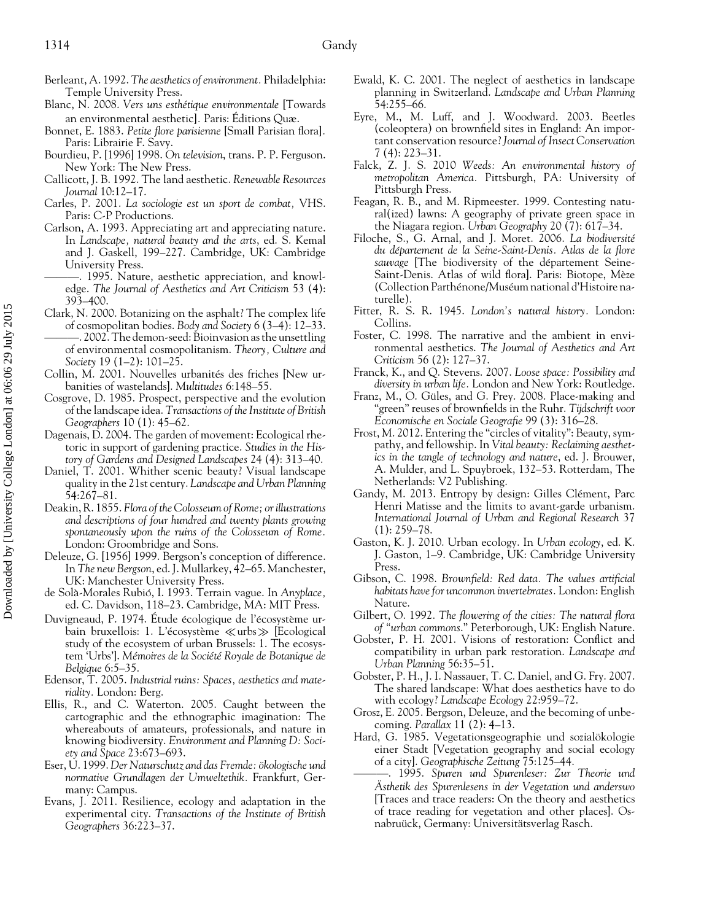- Berleant, A. 1992. *The aesthetics of environment.* Philadelphia: Temple University Press.
- Blanc, N. 2008. *Vers uns esthetique environmentale ´* [Towards an environmental aesthetic]. Paris: Éditions Quæ.
- Bonnet, E. 1883. *Petite flore parisienne* [Small Parisian flora]*.* Paris: Librairie F. Savy.
- Bourdieu, P. [1996] 1998. *On television*, trans. P. P. Ferguson. New York: The New Press.
- Callicott, J. B. 1992. The land aesthetic. *Renewable Resources Journal* 10:12–17.
- Carles, P. 2001. *La sociologie est un sport de combat,* VHS. Paris: C-P Productions.
- Carlson, A. 1993. Appreciating art and appreciating nature. In *Landscape, natural beauty and the arts*, ed. S. Kemal and J. Gaskell, 199–227. Cambridge, UK: Cambridge University Press.
	- -. 1995. Nature, aesthetic appreciation, and knowledge. *The Journal of Aesthetics and Art Criticism* 53 (4): 393–400.
- Clark, N. 2000. Botanizing on the asphalt? The complex life of cosmopolitan bodies. *Body and Society* 6 (3–4): 12–33. ———. 2002. The demon-seed: Bioinvasion as the unsettling of environmental cosmopolitanism. *Theory, Culture and Society* 19 (1–2): 101–25.
- Collin, M. 2001. Nouvelles urbanités des friches [New urbanities of wastelands]. *Multitudes* 6:148–55.
- Cosgrove, D. 1985. Prospect, perspective and the evolution of the landscape idea. *Transactions of the Institute of British Geographers* 10 (1): 45–62.
- Dagenais, D. 2004. The garden of movement: Ecological rhetoric in support of gardening practice. *Studies in the History of Gardens and Designed Landscapes* 24 (4): 313–40.
- Daniel, T. 2001. Whither scenic beauty? Visual landscape quality in the 21st century. *Landscape and Urban Planning* 54:267–81.
- Deakin, R. 1855. *Flora of the Colosseum of Rome; or illustrations and descriptions of four hundred and twenty plants growing spontaneously upon the ruins of the Colosseum of Rome.* London: Groombridge and Sons.
- Deleuze, G. [1956] 1999. Bergson's conception of difference. In *The new Bergson*, ed. J. Mullarkey, 42–65. Manchester, UK: Manchester University Press.
- de Solà-Morales Rubió, I. 1993. Terrain vague. In Anyplace, ed. C. Davidson, 118–23. Cambridge, MA: MIT Press.
- Duvigneaud, P. 1974. Étude écologique de l'écosystème urbain bruxellois: 1. L'écosystème  $\ll$ urbs $\gg$  [Ecological study of the ecosystem of urban Brussels: 1. The ecosystem 'Urbs']. *Memoires de la Soci ´ et´ e Royale de Botanique de ´ Belgique* 6:5–35.
- Edensor, T. 2005. *Industrial ruins: Spaces, aesthetics and materiality.* London: Berg.
- Ellis, R., and C. Waterton. 2005. Caught between the cartographic and the ethnographic imagination: The whereabouts of amateurs, professionals, and nature in knowing biodiversity. *Environment and Planning D: Society and Space* 23:673–693.
- Eser, U. 1999. *Der Naturschutz and das Fremde: okologische und ¨ normative Grundlagen der Umweltethik.* Frankfurt, Germany: Campus.
- Evans, J. 2011. Resilience, ecology and adaptation in the experimental city. *Transactions of the Institute of British Geographers* 36:223–37.
- Ewald, K. C. 2001. The neglect of aesthetics in landscape planning in Switzerland. *Landscape and Urban Planning* 54:255–66.
- Eyre, M., M. Luff, and J. Woodward. 2003. Beetles (coleoptera) on brownfield sites in England: An important conservation resource? *Journal of Insect Conservation* 7 (4): 223–31.
- Falck, Z. J. S. 2010 *Weeds: An environmental history of metropolitan America.* Pittsburgh, PA: University of Pittsburgh Press.
- Feagan, R. B., and M. Ripmeester. 1999. Contesting natural(ized) lawns: A geography of private green space in the Niagara region. *Urban Geography* 20 (7): 617–34.
- Filoche, S., G. Arnal, and J. Moret. 2006. *La biodiversite´ du departement de la Seine-Saint-Denis. Atlas de la flore ´* sauvage [The biodiversity of the département Seine-Saint-Denis. Atlas of wild flora]. Paris: Biotope, Mèze (Collection Parthénone/Muséum national d'Histoire naturelle).
- Fitter, R. S. R. 1945. *London's natural history.* London: Collins.
- Foster, C. 1998. The narrative and the ambient in environmental aesthetics. *The Journal of Aesthetics and Art Criticism* 56 (2): 127–37.
- Franck, K., and Q. Stevens. 2007. *Loose space: Possibility and diversity in urban life.* London and New York: Routledge.
- Franz, M., O. Güles, and G. Prey. 2008. Place-making and "green" reuses of brownfields in the Ruhr. *Tijdschrift voor Economische en Sociale Geografie* 99 (3): 316–28.
- Frost, M. 2012. Entering the "circles of vitality": Beauty, sympathy, and fellowship. In *Vital beauty: Reclaiming aesthetics in the tangle of technology and nature*, ed. J. Brouwer, A. Mulder, and L. Spuybroek, 132–53. Rotterdam, The Netherlands: V2 Publishing.
- Gandy, M. 2013. Entropy by design: Gilles Clément, Parc Henri Matisse and the limits to avant-garde urbanism. *International Journal of Urban and Regional Research* 37  $(1): 259 - 78.$
- Gaston, K. J. 2010. Urban ecology. In *Urban ecology*, ed. K. J. Gaston, 1–9. Cambridge, UK: Cambridge University Press.
- Gibson, C. 1998. *Brownfield: Red data. The values artificial habitats have for uncommon invertebrates.* London: English Nature.
- Gilbert, O. 1992. *The flowering of the cities: The natural flora of "urban commons*." Peterborough, UK: English Nature.
- Gobster, P. H. 2001. Visions of restoration: Conflict and compatibility in urban park restoration. *Landscape and Urban Planning* 56:35–51.
- Gobster, P. H., J. I. Nassauer, T. C. Daniel, and G. Fry. 2007. The shared landscape: What does aesthetics have to do with ecology? *Landscape Ecology* 22:959–72.
- Grosz, E. 2005. Bergson, Deleuze, and the becoming of unbecoming. *Parallax* 11 (2): 4–13.
- Hard, G. 1985. Vegetationsgeographie und sozialökologie einer Stadt [Vegetation geography and social ecology of a city]. *Geographische Zeitung* 75:125–44.
- ———. 1995. *Spuren und Spurenleser: Zur Theorie und Asthetik des Spurenlesens in der Vegetation und anderswo ¨* [Traces and trace readers: On the theory and aesthetics of trace reading for vegetation and other places]. Osnabruück, Germany: Universitätsverlag Rasch.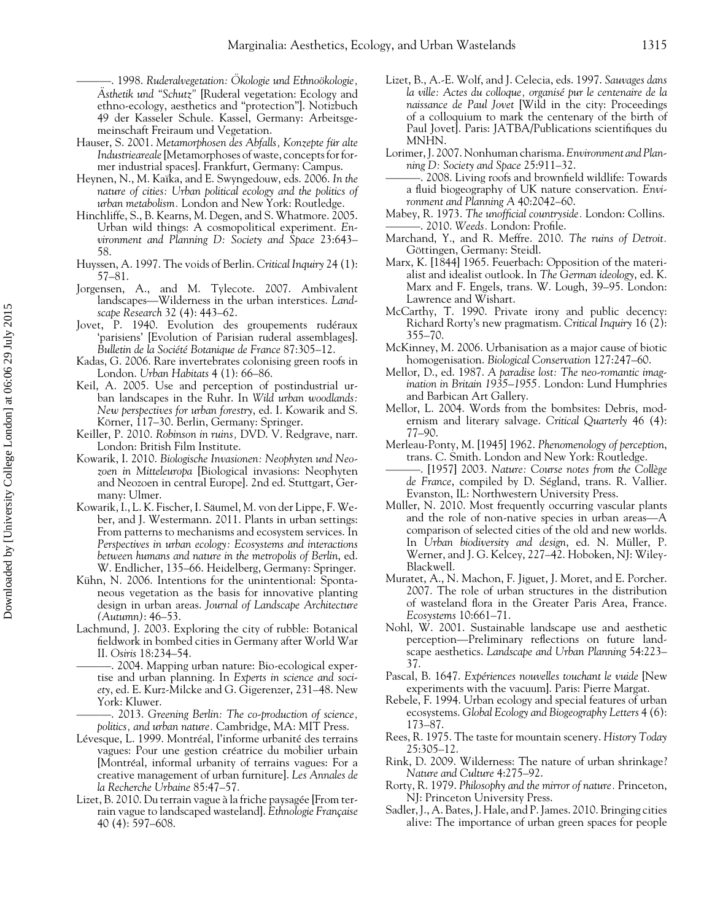———. 1998. *Ruderalvegetation: Okologie und Ethno ¨ okologie, ¨* Asthetik und "Schutz" [Ruderal vegetation: Ecology and ethno-ecology, aesthetics and "protection"]. Notizbuch 49 der Kasseler Schule. Kassel, Germany: Arbeitsgemeinschaft Freiraum und Vegetation.

- Hauser, S. 2001. *Metamorphosen des Abfalls*, *Konzepte für alte Industrieareale*[Metamorphoses of waste, concepts for former industrial spaces]. Frankfurt, Germany: Campus.
- Heynen, N., M. Ka¨ıka, and E. Swyngedouw, eds. 2006. *In the nature of cities: Urban political ecology and the politics of urban metabolism.* London and New York: Routledge.
- Hinchliffe, S., B. Kearns, M. Degen, and S. Whatmore. 2005. Urban wild things: A cosmopolitical experiment. *Environment and Planning D: Society and Space* 23:643– 58.
- Huyssen, A. 1997. The voids of Berlin. *Critical Inquiry* 24 (1): 57–81.
- Jorgensen, A., and M. Tylecote. 2007. Ambivalent landscapes—Wilderness in the urban interstices. *Landscape Research* 32 (4): 443–62.
- Jovet, P. 1940. Evolution des groupements rudéraux 'parisiens' [Evolution of Parisian ruderal assemblages]. *Bulletin de la Societ´ e Botanique de France ´* 87:305–12.
- Kadas, G. 2006. Rare invertebrates colonising green roofs in London. *Urban Habitats* 4 (1): 66–86.
- Keil, A. 2005. Use and perception of postindustrial urban landscapes in the Ruhr. In *Wild urban woodlands: New perspectives for urban forestry*, ed. I. Kowarik and S. Körner, 117–30. Berlin, Germany: Springer.
- Keiller, P. 2010. *Robinson in ruins,* DVD. V. Redgrave, narr. London: British Film Institute.
- Kowarik, I. 2010. *Biologische Invasionen: Neophyten und Neozoen in Mitteleuropa* [Biological invasions: Neophyten and Neozoen in central Europe]. 2nd ed. Stuttgart, Germany: Ulmer.
- Kowarik, I., L. K. Fischer, I. Saumel, M. von der Lippe, F. We- ¨ ber, and J. Westermann. 2011. Plants in urban settings: From patterns to mechanisms and ecosystem services. In *Perspectives in urban ecology: Ecosystems and interactions between humans and nature in the metropolis of Berlin*, ed. W. Endlicher, 135–66. Heidelberg, Germany: Springer.
- Kühn, N. 2006. Intentions for the unintentional: Spontaneous vegetation as the basis for innovative planting design in urban areas. *Journal of Landscape Architecture (Autumn)*: 46–53.
- Lachmund, J. 2003. Exploring the city of rubble: Botanical fieldwork in bombed cities in Germany after World War II. *Osiris* 18:234–54.
	- ———. 2004. Mapping urban nature: Bio-ecological expertise and urban planning. In *Experts in science and society*, ed. E. Kurz-Milcke and G. Gigerenzer, 231–48. New York: Kluwer.
- ———. 2013. *Greening Berlin: The co-production of science, politics, and urban nature.* Cambridge, MA: MIT Press.
- Lévesque, L. 1999. Montréal, l'informe urbanité des terrains vagues: Pour une gestion créatrice du mobilier urbain [Montréal, informal urbanity of terrains vagues: For a creative management of urban furniture]. *Les Annales de la Recherche Urbaine* 85:47–57.
- Lizet, B. 2010. Du terrain vague à la friche paysagée [From terrain vague to landscaped wasteland]. *Ethnologie Française* 40 (4): 597–608.
- Lizet, B., A.-E. Wolf, and J. Celecia, eds. 1997. *Sauvages dans la ville: Actes du colloque, organise pur le centenaire de la ´ naissance de Paul Jovet* [Wild in the city: Proceedings of a colloquium to mark the centenary of the birth of Paul Jovet]. Paris: JATBA/Publications scientifiques du MNHN.
- Lorimer, J. 2007. Nonhuman charisma. *Environment and Planning D: Society and Space* 25:911–32.
- ———. 2008. Living roofs and brownfield wildlife: Towards a fluid biogeography of UK nature conservation. *Environment and Planning A* 40:2042–60.
- Mabey, R. 1973. *The unofficial countryside.* London: Collins. ———. 2010. *Weeds.* London: Profile.
- Marchand, Y., and R. Meffre. 2010. *The ruins of Detroit.* Göttingen, Germany: Steidl.
- Marx, K. [1844] 1965. Feuerbach: Opposition of the materialist and idealist outlook. In *The German ideology*, ed. K. Marx and F. Engels, trans. W. Lough, 39–95. London: Lawrence and Wishart.
- McCarthy, T. 1990. Private irony and public decency: Richard Rorty's new pragmatism. *Critical Inquiry* 16 (2): 355–70.
- McKinney, M. 2006. Urbanisation as a major cause of biotic homogenisation. *Biological Conservation* 127:247–60.
- Mellor, D., ed. 1987. *A paradise lost: The neo-romantic imagination in Britain 1935–1955.* London: Lund Humphries and Barbican Art Gallery.
- Mellor, L. 2004. Words from the bombsites: Debris, modernism and literary salvage. *Critical Quarterly* 46 (4): 77–90.
- Merleau-Ponty, M. [1945] 1962. *Phenomenology of perception*, trans. C. Smith. London and New York: Routledge.
- ———. [1957] 2003. *Nature: Course notes from the College ` de France*, compiled by D. Ségland, trans. R. Vallier. Evanston, IL: Northwestern University Press.
- Müller, N. 2010. Most frequently occurring vascular plants and the role of non-native species in urban areas—A comparison of selected cities of the old and new worlds. In *Urban biodiversity and design*, ed. N. Müller, P. Werner, and J. G. Kelcey, 227–42. Hoboken, NJ: Wiley-Blackwell.
- Muratet, A., N. Machon, F. Jiguet, J. Moret, and E. Porcher. 2007. The role of urban structures in the distribution of wasteland flora in the Greater Paris Area, France. *Ecosystems* 10:661–71.
- Nohl, W. 2001. Sustainable landscape use and aesthetic perception—Preliminary reflections on future landscape aesthetics. *Landscape and Urban Planning* 54:223– 37.
- Pascal, B. 1647. *Expériences nouvelles touchant le vuide* [New experiments with the vacuum]. Paris: Pierre Margat.
- Rebele, F. 1994. Urban ecology and special features of urban ecosystems. *Global Ecology and Biogeography Letters* 4 (6): 173–87.
- Rees, R. 1975. The taste for mountain scenery. *History Today* 25:305–12.
- Rink, D. 2009. Wilderness: The nature of urban shrinkage? *Nature and Culture* 4:275–92.
- Rorty, R. 1979. *Philosophy and the mirror of nature.* Princeton, NJ: Princeton University Press.
- Sadler, J., A. Bates, J. Hale, and P. James. 2010. Bringing cities alive: The importance of urban green spaces for people